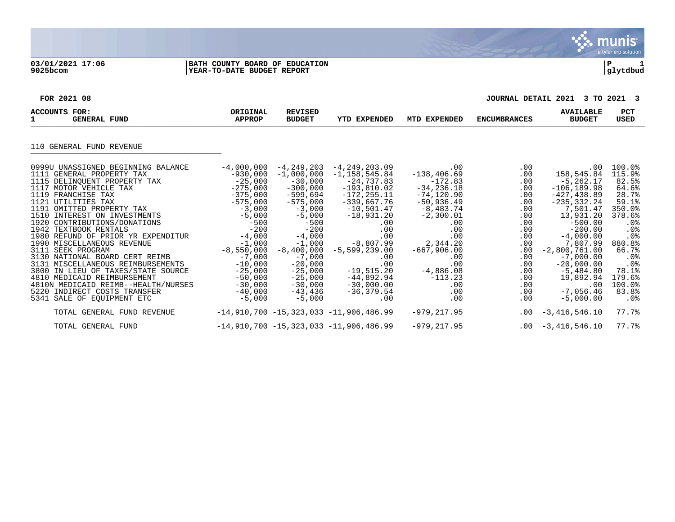$\mathbf{v}$ . munis<sup>.</sup> a tyler erp solution

## **03/01/2021 17:06 |BATH COUNTY BOARD OF EDUCATION |P 1 9025bcom |YEAR-TO-DATE BUDGET REPORT |glytdbud**

**FOR 2021 08 JOURNAL DETAIL 2021 3 TO 2021 3**

| ACCOUNTS FOR:<br>$\mathbf{1}$<br><b>GENERAL FUND</b>                                                                                                                                                                                                                                                                                                                                                                                                                                                                                                                                                                                     | ORIGINAL<br><b>APPROP</b>                                                                                                                                                                                                                                      | <b>REVISED</b><br><b>BUDGET</b>                                                                                                                                                                                                                                  | <b>YTD EXPENDED</b>                                                                                                                                                                                                                                                                  | MTD EXPENDED                                                                                                                                                                                                                        | <b>ENCUMBRANCES</b>                                                                                                                                                                                | <b>AVAILABLE</b><br><b>BUDGET</b>                                                                                                                                                                                                                                                             | <b>PCT</b><br><b>USED</b>                                                                                                                                                                          |
|------------------------------------------------------------------------------------------------------------------------------------------------------------------------------------------------------------------------------------------------------------------------------------------------------------------------------------------------------------------------------------------------------------------------------------------------------------------------------------------------------------------------------------------------------------------------------------------------------------------------------------------|----------------------------------------------------------------------------------------------------------------------------------------------------------------------------------------------------------------------------------------------------------------|------------------------------------------------------------------------------------------------------------------------------------------------------------------------------------------------------------------------------------------------------------------|--------------------------------------------------------------------------------------------------------------------------------------------------------------------------------------------------------------------------------------------------------------------------------------|-------------------------------------------------------------------------------------------------------------------------------------------------------------------------------------------------------------------------------------|----------------------------------------------------------------------------------------------------------------------------------------------------------------------------------------------------|-----------------------------------------------------------------------------------------------------------------------------------------------------------------------------------------------------------------------------------------------------------------------------------------------|----------------------------------------------------------------------------------------------------------------------------------------------------------------------------------------------------|
| 110 GENERAL FUND REVENUE                                                                                                                                                                                                                                                                                                                                                                                                                                                                                                                                                                                                                 |                                                                                                                                                                                                                                                                |                                                                                                                                                                                                                                                                  |                                                                                                                                                                                                                                                                                      |                                                                                                                                                                                                                                     |                                                                                                                                                                                                    |                                                                                                                                                                                                                                                                                               |                                                                                                                                                                                                    |
| 0999U UNASSIGNED BEGINNING BALANCE<br>1111 GENERAL PROPERTY TAX<br>1115 DELINQUENT PROPERTY TAX<br>1117 MOTOR VEHICLE TAX<br>1119 FRANCHISE TAX<br>1121 UTILITIES TAX<br>1191 OMITTED PROPERTY TAX<br>1510 INTEREST ON INVESTMENTS<br>1920 CONTRIBUTIONS/DONATIONS<br>1942 TEXTBOOK RENTALS<br>1980 REFUND OF PRIOR YR EXPENDITUR<br>1990 MISCELLANEOUS REVENUE<br>3111 SEEK PROGRAM<br>3130 NATIONAL BOARD CERT REIMB<br>3131 MISCELLANEOUS REIMBURSEMENTS<br>3800 IN LIEU OF TAXES/STATE SOURCE<br>4810 MEDICAID REIMBURSEMENT<br>4810N MEDICAID REIMB--HEALTH/NURSES<br>5220 INDIRECT COSTS TRANSFER<br>5341<br>SALE OF EQUIPMENT ETC | $-4,000,000$<br>$-930.000$<br>$-25,000$<br>$-275,000$<br>$-375,000$<br>$-575,000$<br>$-3,000$<br>$-5,000$<br>$-500$<br>$-200$<br>$-4,000$<br>$-1,000$<br>$-8,550,000$<br>$-7,000$<br>$-10,000$<br>$-25,000$<br>$-50,000$<br>$-30,000$<br>$-40,000$<br>$-5,000$ | $-4, 249, 203$<br>$-1,000,000$<br>$-30,000$<br>$-300,000$<br>$-599,694$<br>$-575,000$<br>$-3,000$<br>$-5,000$<br>$-500$<br>$-200$<br>$-4,000$<br>$-1,000$<br>$-8,400,000$<br>$-7,000$<br>$-20,000$<br>$-25,000$<br>$-25,000$<br>$-30,000$<br>-43,436<br>$-5,000$ | $-4, 249, 203.09$<br>$-1.158.545.84$<br>$-24,737.83$<br>$-193,810.02$<br>$-172, 255.11$<br>$-339,667.76$<br>$-10,501.47$<br>$-18,931.20$<br>.00<br>.00<br>.00<br>$-8,807.99$<br>$-5,599,239.00$<br>.00<br>.00<br>$-19,515.20$<br>$-44,892.94$<br>$-30,000.00$<br>$-36,379.54$<br>.00 | .00<br>$-138, 406.69$<br>$-172.83$<br>$-34, 236.18$<br>$-74, 120.90$<br>$-50,936.49$<br>$-8,483.74$<br>$-2,300.01$<br>.00<br>.00<br>.00<br>2,344.20<br>$-667,906.00$<br>.00<br>.00<br>$-4,886.08$<br>$-113.23$<br>.00<br>.00<br>.00 | $.00 \,$<br>$.00 \,$<br>.00<br>$.00 \,$<br>.00<br>.00<br>$.00 \,$<br>.00<br>$.00 \,$<br>.00<br>$.00 \,$<br>.00<br>.00<br>.00<br>$.00 \,$<br>$.00 \,$<br>$.00 \,$<br>.00<br>$.00 \ \rm$<br>$.00 \,$ | $.00 \,$<br>158,545.84<br>$-5, 262.17$<br>$-106, 189.98$<br>$-427, 438.89$<br>$-235, 332.24$<br>7,501.47<br>13,931.20<br>$-500.00$<br>$-200.00$<br>$-4,000.00$<br>7,807.99<br>$-2,800,761.00$<br>$-7,000.00$<br>$-20,000.00$<br>$-5,484.80$<br>19,892.94<br>.00<br>$-7,056.46$<br>$-5,000.00$ | $100.0$ <sup>8</sup><br>115.9%<br>82.5%<br>64.6%<br>28.7%<br>59.1%<br>350.0%<br>378.6%<br>$.0\%$<br>.0%<br>.0%<br>880.8%<br>66.7%<br>$.0\%$<br>.0%<br>78.1%<br>179.6%<br>100.0%<br>83.8%<br>$.0\%$ |
| TOTAL GENERAL FUND REVENUE                                                                                                                                                                                                                                                                                                                                                                                                                                                                                                                                                                                                               |                                                                                                                                                                                                                                                                |                                                                                                                                                                                                                                                                  | $-14,910,700 -15,323,033 -11,906,486.99$                                                                                                                                                                                                                                             | $-979, 217.95$                                                                                                                                                                                                                      | $.00 \,$                                                                                                                                                                                           | $-3,416,546.10$                                                                                                                                                                                                                                                                               | 77.7%                                                                                                                                                                                              |
| TOTAL GENERAL FUND                                                                                                                                                                                                                                                                                                                                                                                                                                                                                                                                                                                                                       |                                                                                                                                                                                                                                                                |                                                                                                                                                                                                                                                                  | $-14,910,700 -15,323,033 -11,906,486.99$                                                                                                                                                                                                                                             | $-979, 217.95$                                                                                                                                                                                                                      |                                                                                                                                                                                                    | $.00 - 3,416,546.10$                                                                                                                                                                                                                                                                          | 77.7%                                                                                                                                                                                              |